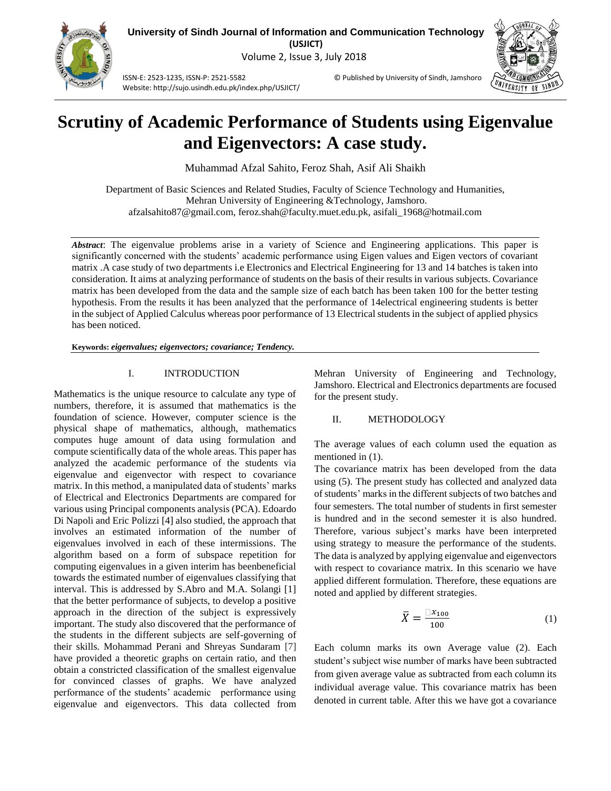

**University of Sindh Journal of Information and Communication Technology (USJICT)** Volume 2, Issue 3, July 2018

ISSN-E: 2523-1235, ISSN-P: 2521-5582 © Published by University of Sindh, Jamshoro Website: http://sujo.usindh.edu.pk/index.php/USJICT/



# **Scrutiny of Academic Performance of Students using Eigenvalue and Eigenvectors: A case study.**

Muhammad Afzal Sahito, Feroz Shah, Asif Ali Shaikh

Department of Basic Sciences and Related Studies, Faculty of Science Technology and Humanities, Mehran University of Engineering &Technology, Jamshoro. afzalsahito87@gmail.com, feroz.shah@faculty.muet.edu.pk, asifali\_1968@hotmail.com

*Abstract*: The eigenvalue problems arise in a variety of Science and Engineering applications. This paper is significantly concerned with the students' academic performance using Eigen values and Eigen vectors of covariant matrix .A case study of two departments i.e Electronics and Electrical Engineering for 13 and 14 batches is taken into consideration. It aims at analyzing performance of students on the basis of their results in various subjects. Covariance matrix has been developed from the data and the sample size of each batch has been taken 100 for the better testing hypothesis. From the results it has been analyzed that the performance of 14electrical engineering students is better in the subject of Applied Calculus whereas poor performance of 13 Electrical students in the subject of applied physics has been noticed.

#### **Keywords:** *eigenvalues; eigenvectors; covariance; Tendency.*

## I. INTRODUCTION

Mathematics is the unique resource to calculate any type of numbers, therefore, it is assumed that mathematics is the foundation of science. However, computer science is the physical shape of mathematics, although, mathematics computes huge amount of data using formulation and compute scientifically data of the whole areas. This paper has analyzed the academic performance of the students via eigenvalue and eigenvector with respect to covariance matrix. In this method, a manipulated data of students' marks of Electrical and Electronics Departments are compared for various using Principal components analysis (PCA). Edoardo Di Napoli and Eric Polizzi [4] also studied, the approach that involves an estimated information of the number of eigenvalues involved in each of these intermissions. The algorithm based on a form of subspace repetition for computing eigenvalues in a given interim has beenbeneficial towards the estimated number of eigenvalues classifying that interval. This is addressed by S.Abro and M.A. Solangi [1] that the better performance of subjects, to develop a positive approach in the direction of the subject is expressively important. The study also discovered that the performance of the students in the different subjects are self-governing of their skills. Mohammad Perani and Shreyas Sundaram [7] have provided a theoretic graphs on certain ratio, and then obtain a constricted classification of the smallest eigenvalue for convinced classes of graphs. We have analyzed performance of the students' academic performance using eigenvalue and eigenvectors. This data collected from

Mehran University of Engineering and Technology, Jamshoro. Electrical and Electronics departments are focused for the present study.

## II. METHODOLOGY

The average values of each column used the equation as mentioned in  $(1)$ .

The covariance matrix has been developed from the data using (5). The present study has collected and analyzed data of students' marks in the different subjects of two batches and four semesters. The total number of students in first semester is hundred and in the second semester it is also hundred. Therefore, various subject's marks have been interpreted using strategy to measure the performance of the students. The data is analyzed by applying eigenvalue and eigenvectors with respect to covariance matrix. In this scenario we have applied different formulation. Therefore, these equations are noted and applied by different strategies.

$$
\bar{X} = \frac{\Box x_{100}}{100} \tag{1}
$$

Each column marks its own Average value (2). Each student's subject wise number of marks have been subtracted from given average value as subtracted from each column its individual average value. This covariance matrix has been denoted in current table. After this we have got a covariance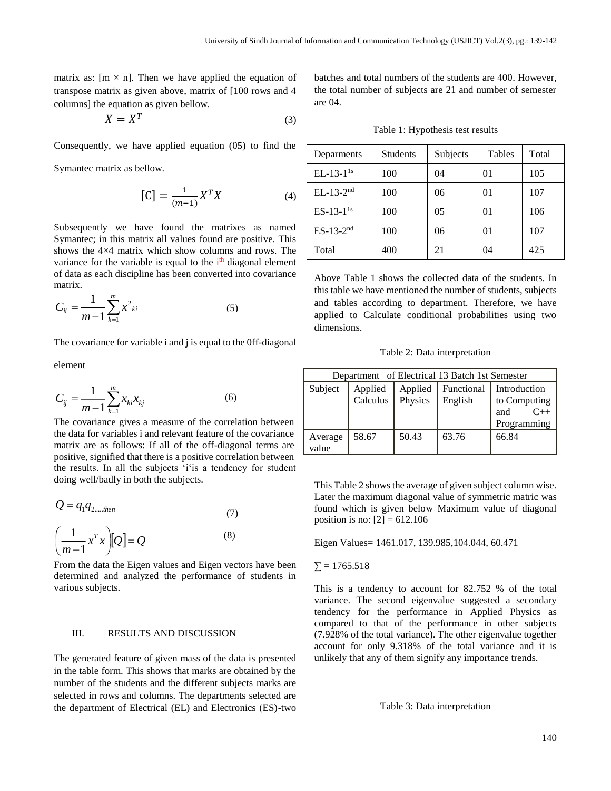matrix as:  $[m \times n]$ . Then we have applied the equation of transpose matrix as given above, matrix of [100 rows and 4 columns] the equation as given bellow.

$$
X = X^T \tag{3}
$$

Consequently, we have applied equation (05) to find the

Symantec matrix as bellow.

$$
\left[\mathbf{C}\right] = \frac{1}{(m-1)} X^T X \tag{4}
$$

Subsequently we have found the matrixes as named Symantec; in this matrix all values found are positive. This shows the 4×4 matrix which show columns and rows. The variance for the variable is equal to the  $i<sup>th</sup>$  diagonal element of data as each discipline has been converted into covariance matrix.

$$
C_{ii} = \frac{1}{m-1} \sum_{k=1}^{m} x_{ki}^{2}
$$
 (5)

The covariance for variable i and j is equal to the 0ff-diagonal

element

$$
C_{ij} = \frac{1}{m-1} \sum_{k=1}^{m} x_{ki} x_{kj} \tag{6}
$$

The covariance gives a measure of the correlation between the data for variables i and relevant feature of the covariance matrix are as follows: If all of the off-diagonal terms are positive, signified that there is a positive correlation between the results. In all the subjects 'i'is a tendency for student doing well/badly in both the subjects.

$$
Q = q_1 q_{2,\dots,then}
$$
\n
$$
\left(\frac{1}{m-1}x^T x\right)[Q] = Q
$$
\n(8)

From the data the Eigen values and Eigen vectors have been determined and analyzed the performance of students in various subjects.

## III. RESULTS AND DISCUSSION

The generated feature of given mass of the data is presented in the table form. This shows that marks are obtained by the number of the students and the different subjects marks are selected in rows and columns. The departments selected are the department of Electrical (EL) and Electronics (ES)-two batches and total numbers of the students are 400. However, the total number of subjects are 21 and number of semester are 04.

Table 1: Hypothesis test results

| Deparments     | <b>Students</b> | Subjects | Tables  | Total |
|----------------|-----------------|----------|---------|-------|
| $EL-13-1^{1s}$ | 100             | 04       | $_{01}$ | 105   |
| $EL-13-2nd$    | 100             | 06       | 01      | 107   |
| $ES-13-11s$    | 100             | 05       | 01      | 106   |
| $ES-13-2nd$    | 100             | 06       | 01      | 107   |
| Total          | 400             | 21       | 04      | 425   |

Above Table 1 shows the collected data of the students. In this table we have mentioned the number of students, subjects and tables according to department. Therefore, we have applied to Calculate conditional probabilities using two dimensions.

Table 2: Data interpretation

| Department of Electrical 13 Batch 1st Semester |                                     |       |                              |                                                             |  |  |  |  |
|------------------------------------------------|-------------------------------------|-------|------------------------------|-------------------------------------------------------------|--|--|--|--|
| Subject                                        | Applied Applied<br>Calculus Physics |       | <b>Functional</b><br>English | Introduction<br>to Computing<br>$C++$<br>and<br>Programming |  |  |  |  |
| Average<br>value                               | 58.67                               | 50.43 | 63.76                        | 66.84                                                       |  |  |  |  |

This Table 2 shows the average of given subject column wise. Later the maximum diagonal value of symmetric matric was found which is given below Maximum value of diagonal position is no:  $[2] = 612.106$ 

Eigen Values= 1461.017, 139.985,104.044, 60.471

#### $\Sigma = 1765.518$

This is a tendency to account for 82.752 % of the total variance. The second eigenvalue suggested a secondary tendency for the performance in Applied Physics as compared to that of the performance in other subjects (7.928% of the total variance). The other eigenvalue together account for only 9.318% of the total variance and it is unlikely that any of them signify any importance trends.

Table 3: Data interpretation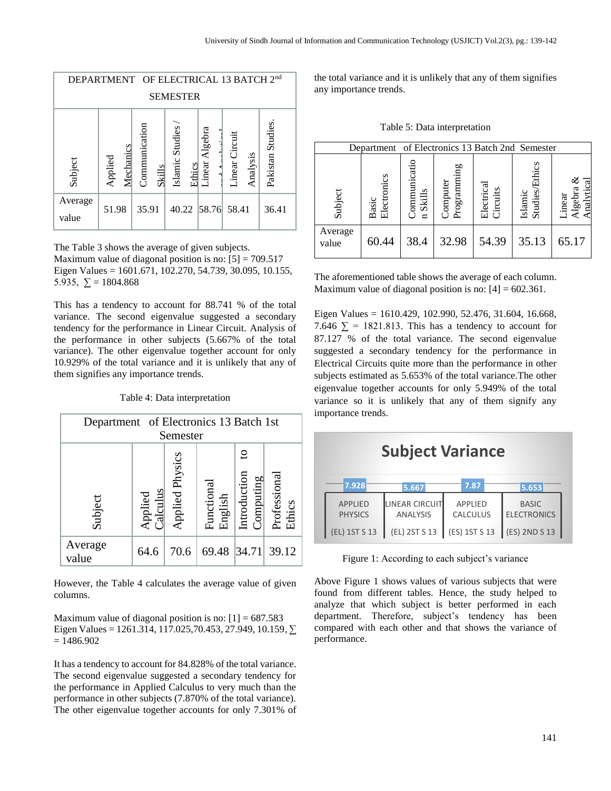| DEPARTMENT OF ELECTRICAL 13 BATCH 2nd                                                                                                                                               |                 |  |       |  |  |  |             |       |  |       |  |
|-------------------------------------------------------------------------------------------------------------------------------------------------------------------------------------|-----------------|--|-------|--|--|--|-------------|-------|--|-------|--|
|                                                                                                                                                                                     | <b>SEMESTER</b> |  |       |  |  |  |             |       |  |       |  |
| Pakistan Studies.<br>Communication<br>Islamic Studies<br>Linear Algebra<br>Circuit<br>Mechanics<br>Analysis<br>Applied<br>Subject<br>Linear <sup>1</sup><br>Ethics<br><b>Skills</b> |                 |  |       |  |  |  |             |       |  |       |  |
| Average<br>value                                                                                                                                                                    | 51.98           |  | 35.91 |  |  |  | 40.22 58.76 | 58.41 |  | 36.41 |  |

The Table 3 shows the average of given subjects. Maximum value of diagonal position is no:  $[5] = 709.517$ Eigen Values = 1601.671, 102.270, 54.739, 30.095, 10.155, 5.935,  $\Sigma = 1804.868$ 

This has a tendency to account for 88.741 % of the total variance. The second eigenvalue suggested a secondary tendency for the performance in Linear Circuit. Analysis of the performance in other subjects (5.667% of the total variance). The other eigenvalue together account for only 10.929% of the total variance and it is unlikely that any of them signifies any importance trends.

Table 4: Data interpretation

| Department of Electronics 13 Batch 1st<br>Semester |                     |                 |                       |                                |                        |  |
|----------------------------------------------------|---------------------|-----------------|-----------------------|--------------------------------|------------------------|--|
| Subject                                            | Applied<br>Calculus | Applied Physics | Functional<br>English | ខ<br>Introduction<br>Computing | Professional<br>Ethics |  |
| Average<br>value                                   | 64.6                | 70.6            | 69.48 34.71           |                                | 39.12                  |  |

However, the Table 4 calculates the average value of given columns.

Maximum value of diagonal position is no:  $[1] = 687.583$ Eigen Values = 1261.314, 117.025,70.453, 27.949, 10.159,  $∑$  $= 1486.902$ 

It has a tendency to account for 84.828% of the total variance. The second eigenvalue suggested a secondary tendency for the performance in Applied Calculus to very much than the performance in other subjects (7.870% of the total variance). The other eigenvalue together accounts for only 7.301% of the total variance and it is unlikely that any of them signifies any importance trends.

Table 5: Data interpretation

| Department of Electronics 13 Batch 2nd Semester |                      |                            |                         |                        |                           |                                 |
|-------------------------------------------------|----------------------|----------------------------|-------------------------|------------------------|---------------------------|---------------------------------|
| Subject                                         | Electronics<br>Basic | ommunicatio<br>Skills<br>d | Programming<br>Computer | Electrical<br>Circuits | Islamic<br>Studies/Ethics | Analytical<br>Algebra<br>Linear |
| Average<br>value                                | 60.44                | 38.4                       | 32.98                   | 54.39                  | 35.13                     | 65.17                           |

The aforementioned table shows the average of each column. Maximum value of diagonal position is no:  $[4] = 602.361$ .

Eigen Values = 1610.429, 102.990, 52.476, 31.604, 16.668, 7.646  $\Sigma$  = 1821.813. This has a tendency to account for 87.127 % of the total variance. The second eigenvalue suggested a secondary tendency for the performance in Electrical Circuits quite more than the performance in other subjects estimated as 5.653% of the total variance.The other eigenvalue together accounts for only 5.949% of the total variance so it is unlikely that any of them signify any importance trends.

| <b>Subject Variance</b>          |                                   |                                   |                                    |  |  |  |  |
|----------------------------------|-----------------------------------|-----------------------------------|------------------------------------|--|--|--|--|
| 7.928                            | 5.667                             | 7.87                              | 5.653                              |  |  |  |  |
| <b>APPLIED</b><br><b>PHYSICS</b> | LINEAR CIRCUIT<br><b>ANALYSIS</b> | <b>APPLIED</b><br><b>CALCULUS</b> | <b>BASIC</b><br><b>ELECTRONICS</b> |  |  |  |  |
| (EL) 1ST S 13                    | (EL) 2ST S 13                     | (ES) 1ST S 13                     | (ES) 2ND S 13                      |  |  |  |  |

Figure 1: According to each subject's variance

Above Figure 1 shows values of various subjects that were found from different tables. Hence, the study helped to analyze that which subject is better performed in each department. Therefore, subject's tendency has been compared with each other and that shows the variance of performance.